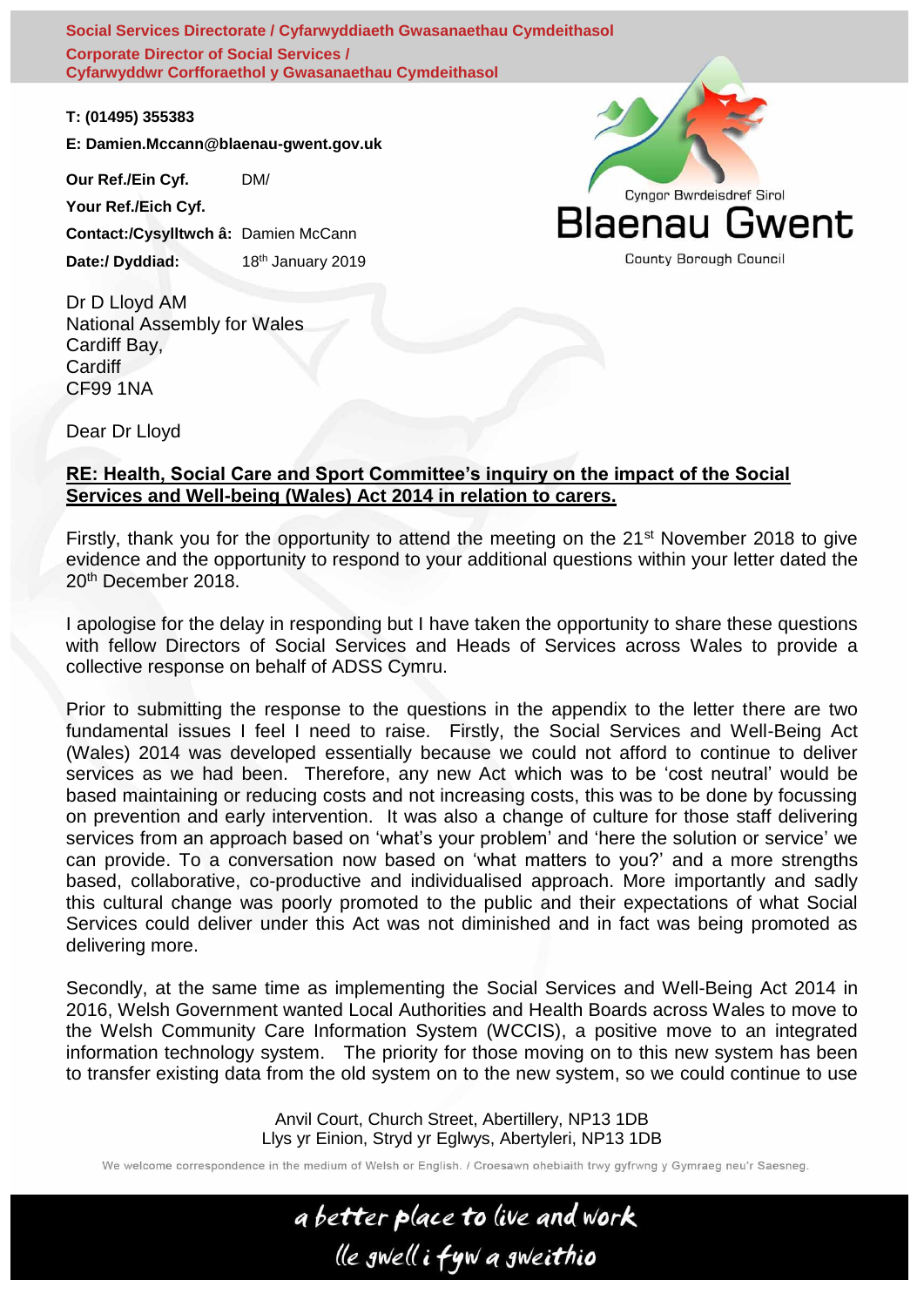**Social Services Directorate / Cyfarwyddiaeth Gwasanaethau Cymdeithasol a Chwaraeon (Symdeithasol a Chwaraeon A<br>Social Services Directorate / Cyfarwyddiaeth Gwasanaethau Cymdeithasol Health, Social Gare and Sport Committee Corporate Director of Social Services / Cyfarwyddwr Corfforaethol y Gwasanaethau Cymdeithasol** HSCS(5)-04-19 Papur 2 / Paper 2

**T: (01495) 355383**

**E: Damien.Mccann@blaenau-gwent.gov.uk**

**Our Ref./Ein Cyf.** DM/ **Your Ref./Eich Cyf. Contact:/Cysylltwch â:** Damien McCann Date:/ Dyddiad: 18<sup>th</sup> January 2019

Dr D Lloyd AM National Assembly for Wales Cardiff Bay, Cardiff CF99 1NA

Dear Dr Lloyd

#### **RE: Health, Social Care and Sport Committee's inquiry on the impact of the Social Services and Well-being (Wales) Act 2014 in relation to carers.**

Firstly, thank you for the opportunity to attend the meeting on the 21<sup>st</sup> November 2018 to give evidence and the opportunity to respond to your additional questions within your letter dated the 20<sup>th</sup> December 2018.

I apologise for the delay in responding but I have taken the opportunity to share these questions with fellow Directors of Social Services and Heads of Services across Wales to provide a collective response on behalf of ADSS Cymru.

Prior to submitting the response to the questions in the appendix to the letter there are two fundamental issues I feel I need to raise. Firstly, the Social Services and Well-Being Act (Wales) 2014 was developed essentially because we could not afford to continue to deliver services as we had been. Therefore, any new Act which was to be 'cost neutral' would be based maintaining or reducing costs and not increasing costs, this was to be done by focussing on prevention and early intervention. It was also a change of culture for those staff delivering services from an approach based on 'what's your problem' and 'here the solution or service' we can provide. To a conversation now based on 'what matters to you?' and a more strengths based, collaborative, co-productive and individualised approach. More importantly and sadly this cultural change was poorly promoted to the public and their expectations of what Social Services could deliver under this Act was not diminished and in fact was being promoted as delivering more.

Secondly, at the same time as implementing the Social Services and Well-Being Act 2014 in 2016, Welsh Government wanted Local Authorities and Health Boards across Wales to move to the Welsh Community Care Information System (WCCIS), a positive move to an integrated information technology system. The priority for those moving on to this new system has been to transfer existing data from the old system on to the new system, so we could continue to use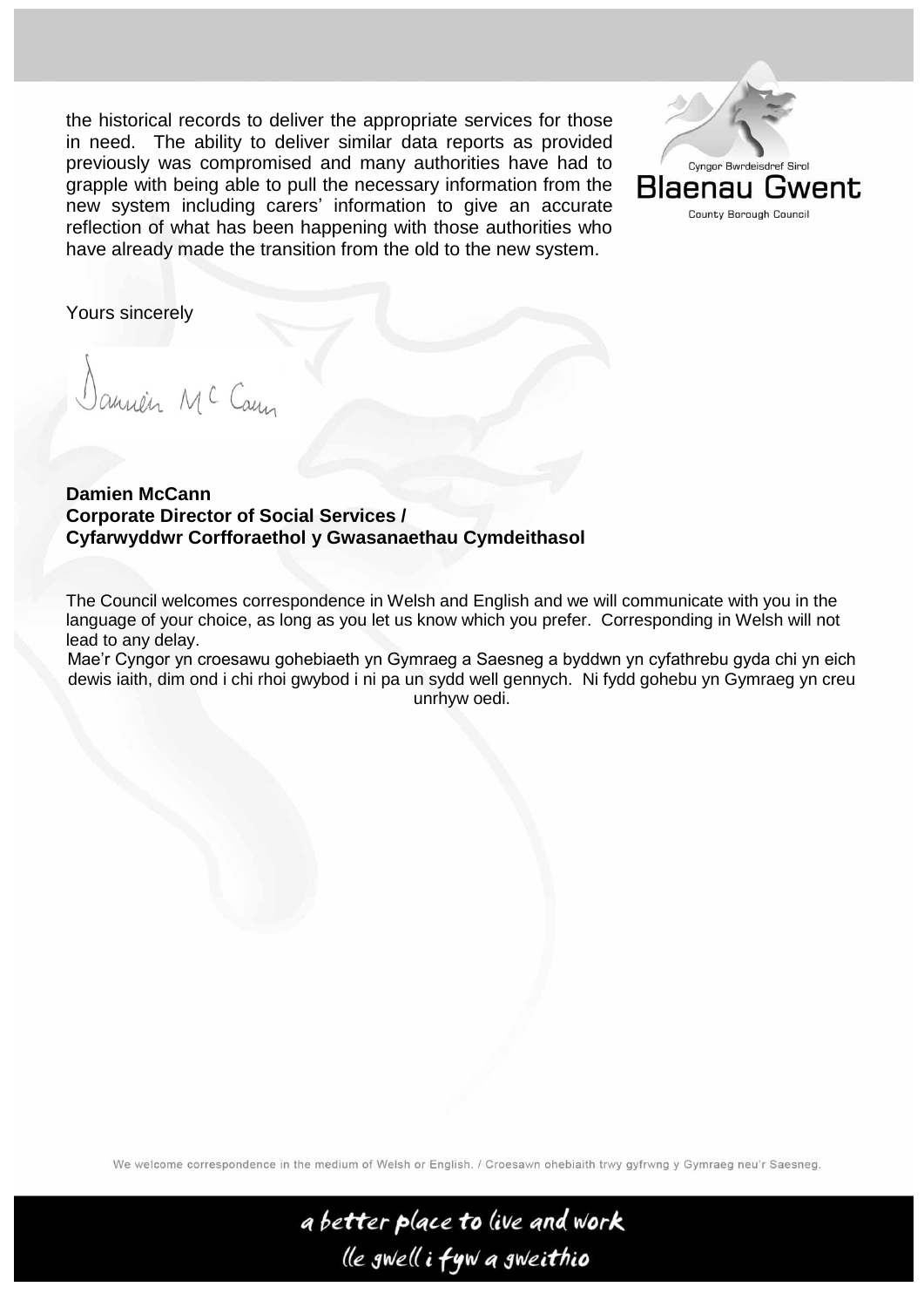the historical records to deliver the appropriate services for those in need. The ability to deliver similar data reports as provided previously was compromised and many authorities have had to grapple with being able to pull the necessary information from the new system including carers' information to give an accurate reflection of what has been happening with those authorities who have already made the transition from the old to the new system.



Yours sincerely

annén MC Cany

**Damien McCann Corporate Director of Social Services / Cyfarwyddwr Corfforaethol y Gwasanaethau Cymdeithasol**

The Council welcomes correspondence in Welsh and English and we will communicate with you in the language of your choice, as long as you let us know which you prefer. Corresponding in Welsh will not lead to any delay.

Mae'r Cyngor yn croesawu gohebiaeth yn Gymraeg a Saesneg a byddwn yn cyfathrebu gyda chi yn eich dewis iaith, dim ond i chi rhoi gwybod i ni pa un sydd well gennych. Ni fydd gohebu yn Gymraeg yn creu unrhyw oedi.

We welcome correspondence in the medium of Welsh or English. / Croesawn ohebiaith trwy gyfrwng y Gymraeg neu'r Saesneg.

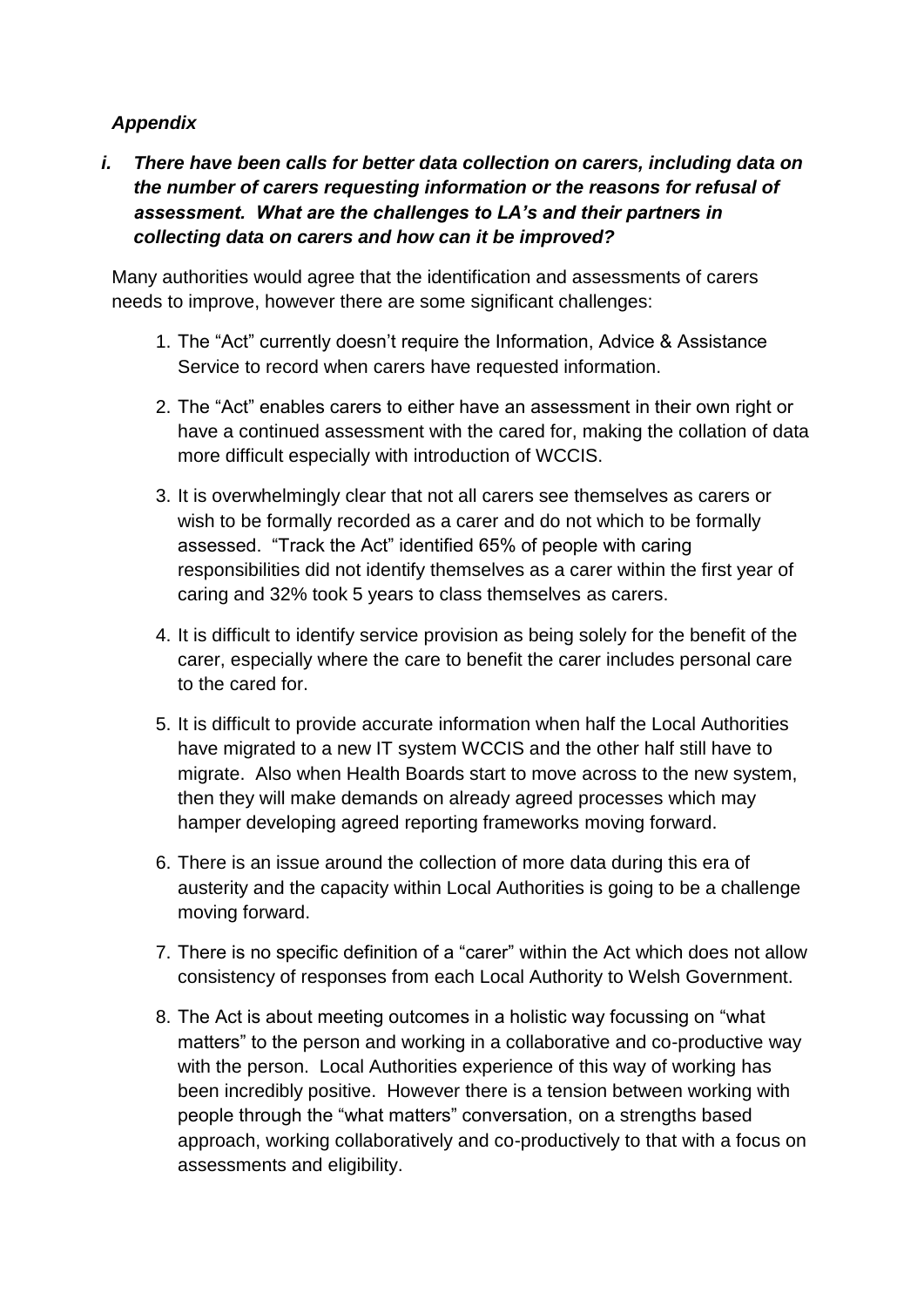### *Appendix*

*i. There have been calls for better data collection on carers, including data on the number of carers requesting information or the reasons for refusal of assessment. What are the challenges to LA's and their partners in collecting data on carers and how can it be improved?*

Many authorities would agree that the identification and assessments of carers needs to improve, however there are some significant challenges:

- 1. The "Act" currently doesn't require the Information, Advice & Assistance Service to record when carers have requested information.
- 2. The "Act" enables carers to either have an assessment in their own right or have a continued assessment with the cared for, making the collation of data more difficult especially with introduction of WCCIS.
- 3. It is overwhelmingly clear that not all carers see themselves as carers or wish to be formally recorded as a carer and do not which to be formally assessed. "Track the Act" identified 65% of people with caring responsibilities did not identify themselves as a carer within the first year of caring and 32% took 5 years to class themselves as carers.
- 4. It is difficult to identify service provision as being solely for the benefit of the carer, especially where the care to benefit the carer includes personal care to the cared for.
- 5. It is difficult to provide accurate information when half the Local Authorities have migrated to a new IT system WCCIS and the other half still have to migrate. Also when Health Boards start to move across to the new system, then they will make demands on already agreed processes which may hamper developing agreed reporting frameworks moving forward.
- 6. There is an issue around the collection of more data during this era of austerity and the capacity within Local Authorities is going to be a challenge moving forward.
- 7. There is no specific definition of a "carer" within the Act which does not allow consistency of responses from each Local Authority to Welsh Government.
- 8. The Act is about meeting outcomes in a holistic way focussing on "what matters" to the person and working in a collaborative and co-productive way with the person. Local Authorities experience of this way of working has been incredibly positive. However there is a tension between working with people through the "what matters" conversation, on a strengths based approach, working collaboratively and co-productively to that with a focus on assessments and eligibility.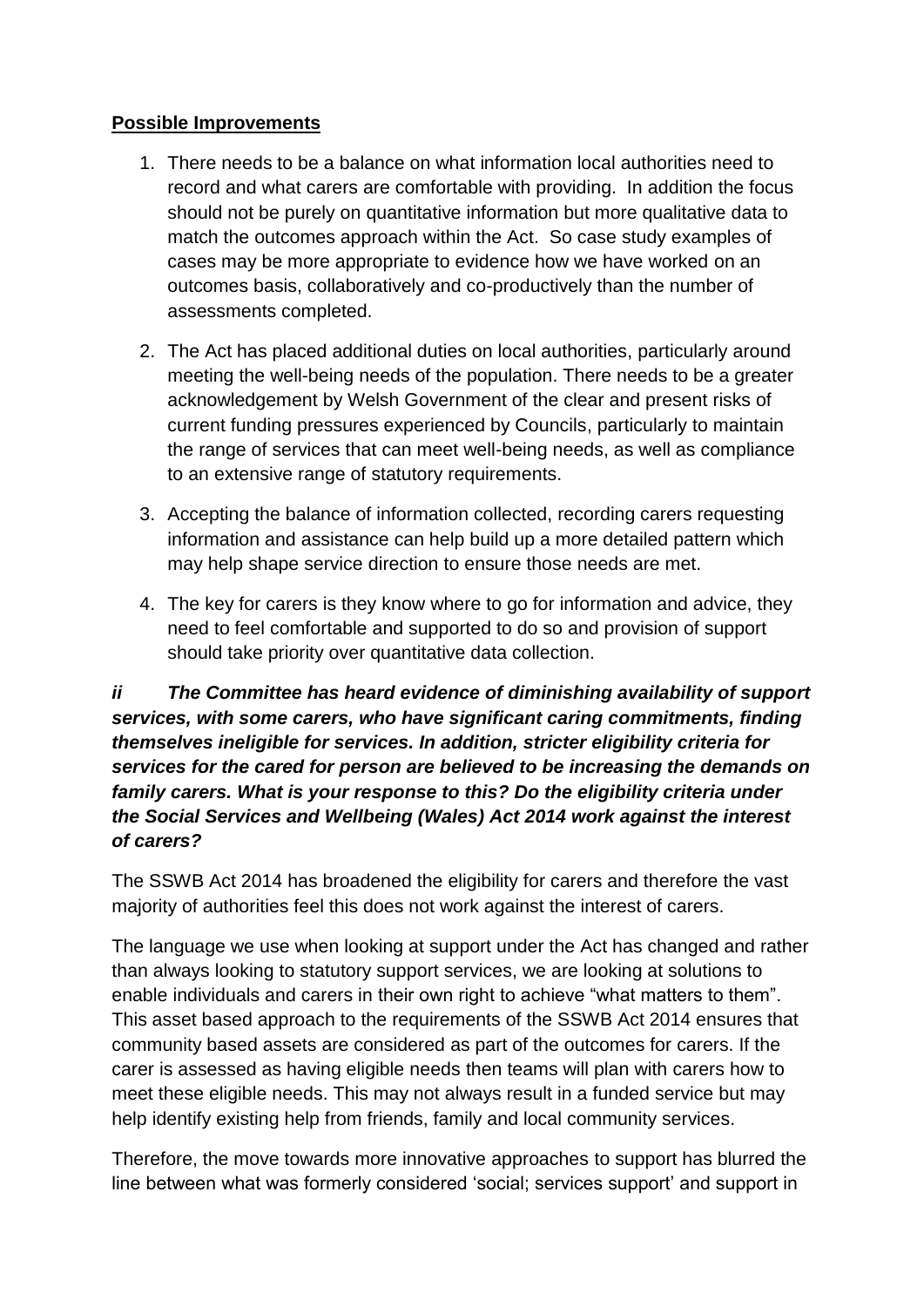#### **Possible Improvements**

- 1. There needs to be a balance on what information local authorities need to record and what carers are comfortable with providing. In addition the focus should not be purely on quantitative information but more qualitative data to match the outcomes approach within the Act. So case study examples of cases may be more appropriate to evidence how we have worked on an outcomes basis, collaboratively and co-productively than the number of assessments completed.
- 2. The Act has placed additional duties on local authorities, particularly around meeting the well-being needs of the population. There needs to be a greater acknowledgement by Welsh Government of the clear and present risks of current funding pressures experienced by Councils, particularly to maintain the range of services that can meet well-being needs, as well as compliance to an extensive range of statutory requirements.
- 3. Accepting the balance of information collected, recording carers requesting information and assistance can help build up a more detailed pattern which may help shape service direction to ensure those needs are met.
- 4. The key for carers is they know where to go for information and advice, they need to feel comfortable and supported to do so and provision of support should take priority over quantitative data collection.

# *ii The Committee has heard evidence of diminishing availability of support services, with some carers, who have significant caring commitments, finding themselves ineligible for services. In addition, stricter eligibility criteria for services for the cared for person are believed to be increasing the demands on family carers. What is your response to this? Do the eligibility criteria under the Social Services and Wellbeing (Wales) Act 2014 work against the interest of carers?*

The SSWB Act 2014 has broadened the eligibility for carers and therefore the vast majority of authorities feel this does not work against the interest of carers.

The language we use when looking at support under the Act has changed and rather than always looking to statutory support services, we are looking at solutions to enable individuals and carers in their own right to achieve "what matters to them". This asset based approach to the requirements of the SSWB Act 2014 ensures that community based assets are considered as part of the outcomes for carers. If the carer is assessed as having eligible needs then teams will plan with carers how to meet these eligible needs. This may not always result in a funded service but may help identify existing help from friends, family and local community services.

Therefore, the move towards more innovative approaches to support has blurred the line between what was formerly considered 'social; services support' and support in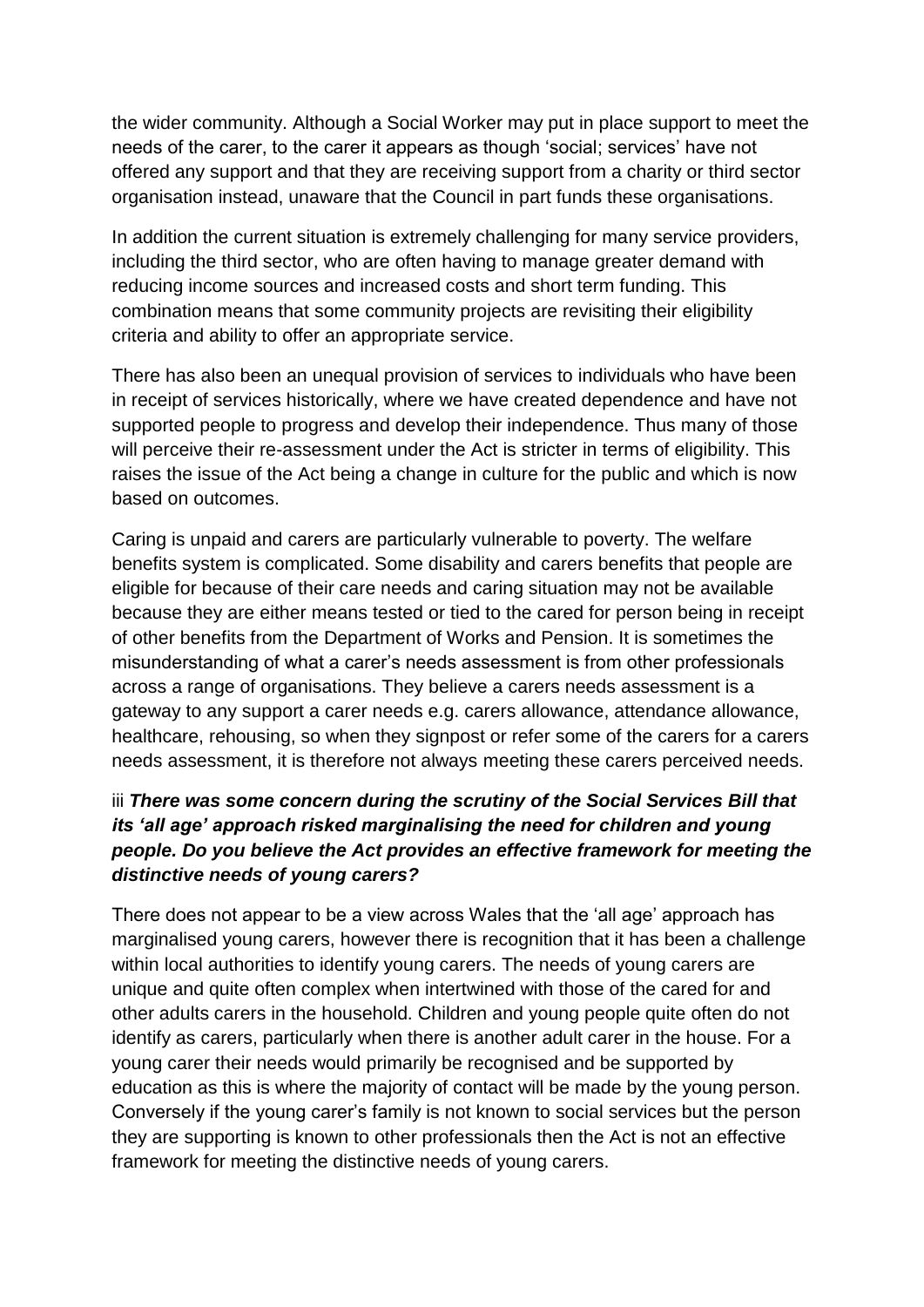the wider community. Although a Social Worker may put in place support to meet the needs of the carer, to the carer it appears as though 'social; services' have not offered any support and that they are receiving support from a charity or third sector organisation instead, unaware that the Council in part funds these organisations.

In addition the current situation is extremely challenging for many service providers, including the third sector, who are often having to manage greater demand with reducing income sources and increased costs and short term funding. This combination means that some community projects are revisiting their eligibility criteria and ability to offer an appropriate service.

There has also been an unequal provision of services to individuals who have been in receipt of services historically, where we have created dependence and have not supported people to progress and develop their independence. Thus many of those will perceive their re-assessment under the Act is stricter in terms of eligibility. This raises the issue of the Act being a change in culture for the public and which is now based on outcomes.

Caring is unpaid and carers are particularly vulnerable to poverty. The welfare benefits system is complicated. Some disability and carers benefits that people are eligible for because of their care needs and caring situation may not be available because they are either means tested or tied to the cared for person being in receipt of other benefits from the Department of Works and Pension. It is sometimes the misunderstanding of what a carer's needs assessment is from other professionals across a range of organisations. They believe a carers needs assessment is a gateway to any support a carer needs e.g. carers allowance, attendance allowance, healthcare, rehousing, so when they signpost or refer some of the carers for a carers needs assessment, it is therefore not always meeting these carers perceived needs.

# iii *There was some concern during the scrutiny of the Social Services Bill that its 'all age' approach risked marginalising the need for children and young people. Do you believe the Act provides an effective framework for meeting the distinctive needs of young carers?*

There does not appear to be a view across Wales that the 'all age' approach has marginalised young carers, however there is recognition that it has been a challenge within local authorities to identify young carers. The needs of young carers are unique and quite often complex when intertwined with those of the cared for and other adults carers in the household. Children and young people quite often do not identify as carers, particularly when there is another adult carer in the house. For a young carer their needs would primarily be recognised and be supported by education as this is where the majority of contact will be made by the young person. Conversely if the young carer's family is not known to social services but the person they are supporting is known to other professionals then the Act is not an effective framework for meeting the distinctive needs of young carers.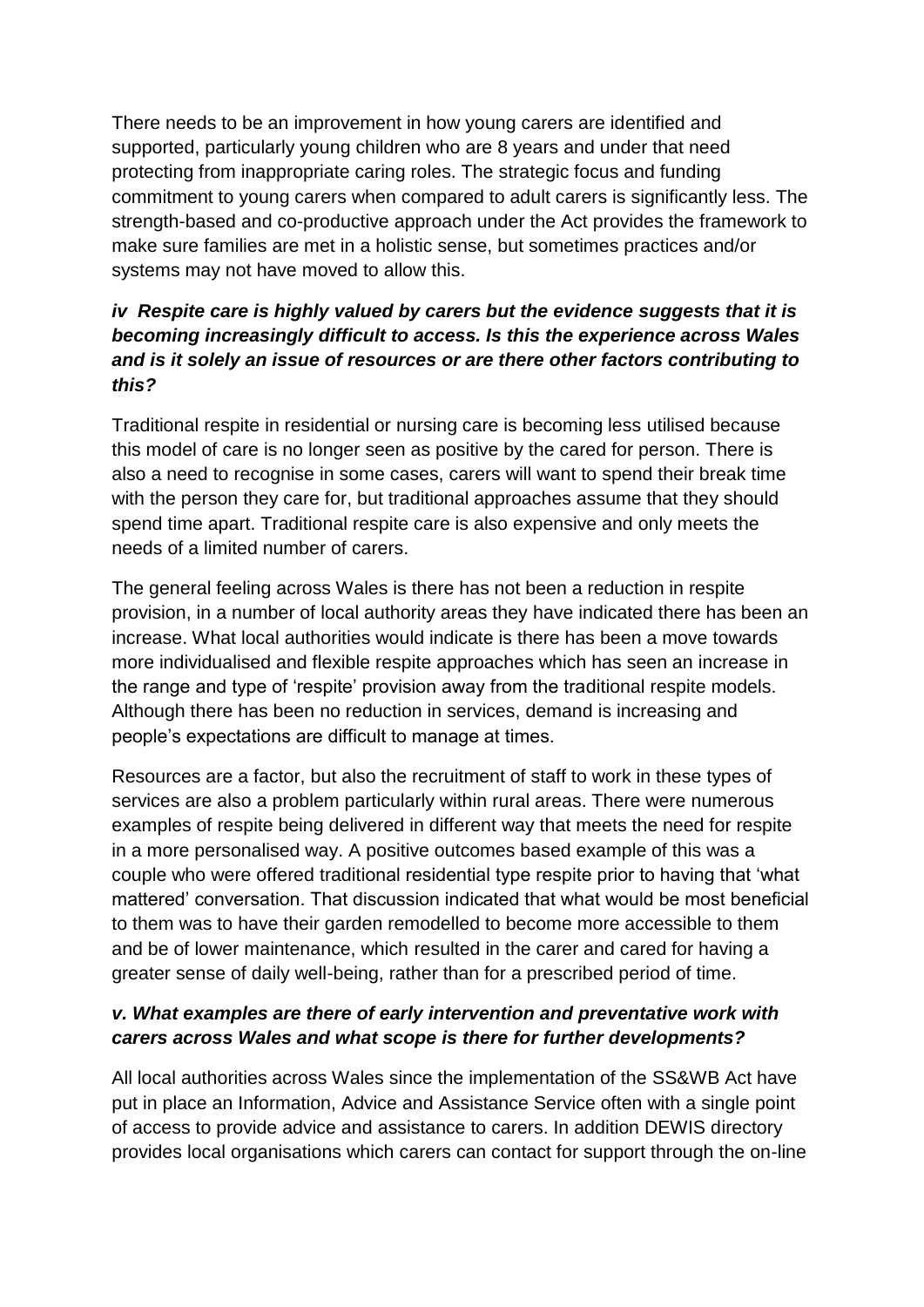There needs to be an improvement in how young carers are identified and supported, particularly young children who are 8 years and under that need protecting from inappropriate caring roles. The strategic focus and funding commitment to young carers when compared to adult carers is significantly less. The strength-based and co-productive approach under the Act provides the framework to make sure families are met in a holistic sense, but sometimes practices and/or systems may not have moved to allow this.

# *iv Respite care is highly valued by carers but the evidence suggests that it is becoming increasingly difficult to access. Is this the experience across Wales and is it solely an issue of resources or are there other factors contributing to this?*

Traditional respite in residential or nursing care is becoming less utilised because this model of care is no longer seen as positive by the cared for person. There is also a need to recognise in some cases, carers will want to spend their break time with the person they care for, but traditional approaches assume that they should spend time apart. Traditional respite care is also expensive and only meets the needs of a limited number of carers.

The general feeling across Wales is there has not been a reduction in respite provision, in a number of local authority areas they have indicated there has been an increase. What local authorities would indicate is there has been a move towards more individualised and flexible respite approaches which has seen an increase in the range and type of 'respite' provision away from the traditional respite models. Although there has been no reduction in services, demand is increasing and people's expectations are difficult to manage at times.

Resources are a factor, but also the recruitment of staff to work in these types of services are also a problem particularly within rural areas. There were numerous examples of respite being delivered in different way that meets the need for respite in a more personalised way. A positive outcomes based example of this was a couple who were offered traditional residential type respite prior to having that 'what mattered' conversation. That discussion indicated that what would be most beneficial to them was to have their garden remodelled to become more accessible to them and be of lower maintenance, which resulted in the carer and cared for having a greater sense of daily well-being, rather than for a prescribed period of time.

# *v. What examples are there of early intervention and preventative work with carers across Wales and what scope is there for further developments?*

All local authorities across Wales since the implementation of the SS&WB Act have put in place an Information, Advice and Assistance Service often with a single point of access to provide advice and assistance to carers. In addition DEWIS directory provides local organisations which carers can contact for support through the on-line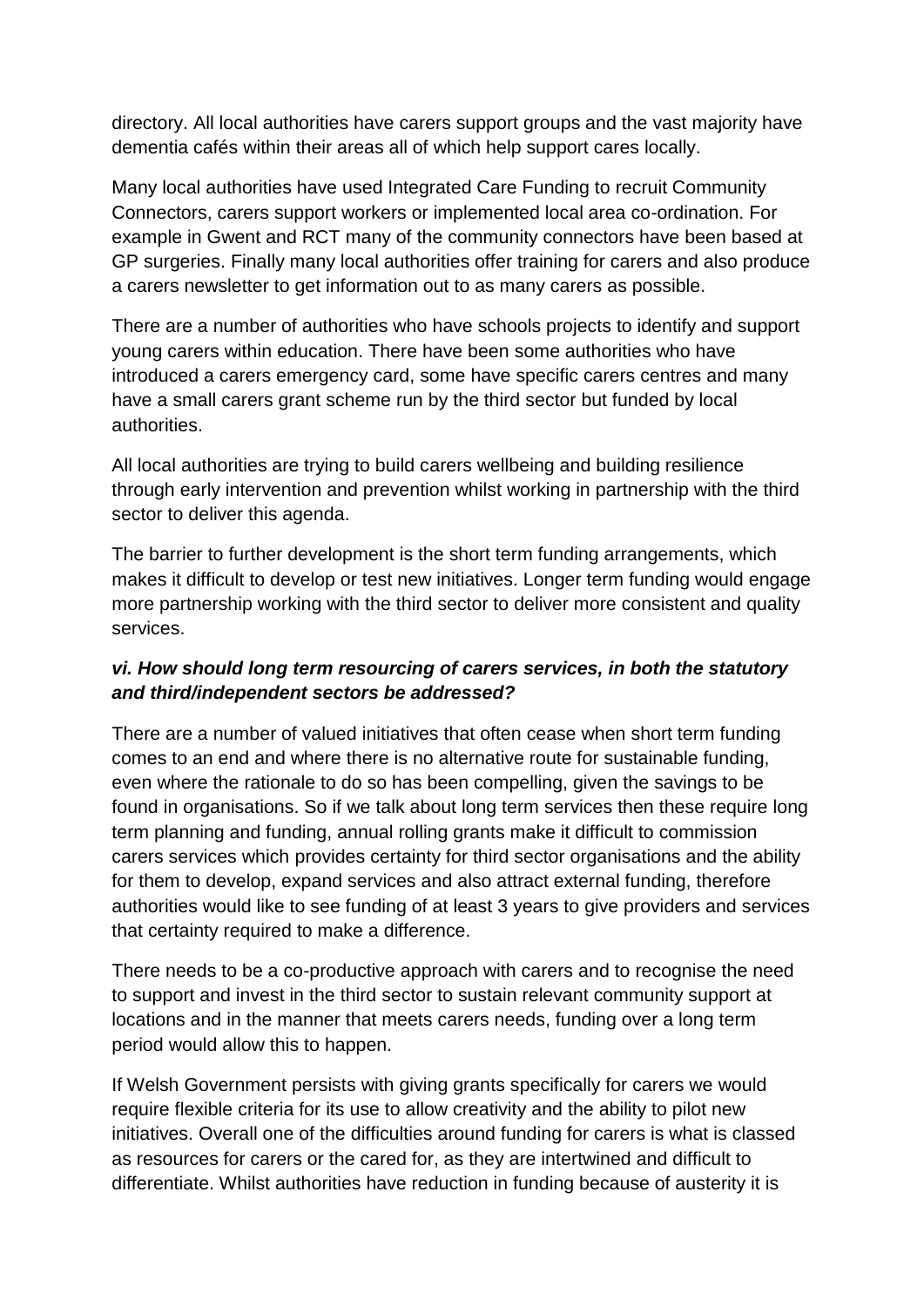directory. All local authorities have carers support groups and the vast majority have dementia cafés within their areas all of which help support cares locally.

Many local authorities have used Integrated Care Funding to recruit Community Connectors, carers support workers or implemented local area co-ordination. For example in Gwent and RCT many of the community connectors have been based at GP surgeries. Finally many local authorities offer training for carers and also produce a carers newsletter to get information out to as many carers as possible.

There are a number of authorities who have schools projects to identify and support young carers within education. There have been some authorities who have introduced a carers emergency card, some have specific carers centres and many have a small carers grant scheme run by the third sector but funded by local authorities.

All local authorities are trying to build carers wellbeing and building resilience through early intervention and prevention whilst working in partnership with the third sector to deliver this agenda.

The barrier to further development is the short term funding arrangements, which makes it difficult to develop or test new initiatives. Longer term funding would engage more partnership working with the third sector to deliver more consistent and quality services.

### *vi. How should long term resourcing of carers services, in both the statutory and third/independent sectors be addressed?*

There are a number of valued initiatives that often cease when short term funding comes to an end and where there is no alternative route for sustainable funding, even where the rationale to do so has been compelling, given the savings to be found in organisations. So if we talk about long term services then these require long term planning and funding, annual rolling grants make it difficult to commission carers services which provides certainty for third sector organisations and the ability for them to develop, expand services and also attract external funding, therefore authorities would like to see funding of at least 3 years to give providers and services that certainty required to make a difference.

There needs to be a co-productive approach with carers and to recognise the need to support and invest in the third sector to sustain relevant community support at locations and in the manner that meets carers needs, funding over a long term period would allow this to happen.

If Welsh Government persists with giving grants specifically for carers we would require flexible criteria for its use to allow creativity and the ability to pilot new initiatives. Overall one of the difficulties around funding for carers is what is classed as resources for carers or the cared for, as they are intertwined and difficult to differentiate. Whilst authorities have reduction in funding because of austerity it is